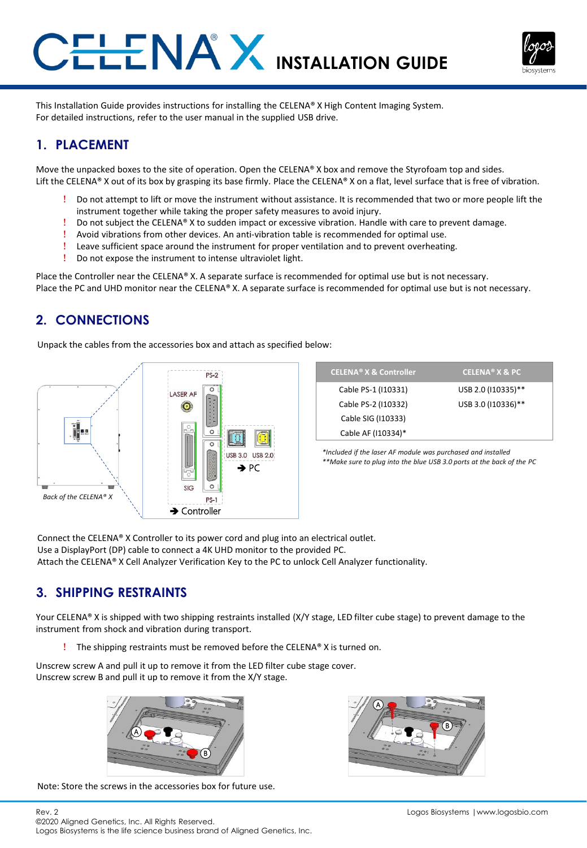



This Installation Guide provides instructions for installing the CELENA® X High Content Imaging System. For detailed instructions, refer to the user manual in the supplied USB drive.

# **1. PLACEMENT**

Move the unpacked boxes to the site of operation. Open the CELENA® X box and remove the Styrofoam top and sides. Lift the CELENA® X out of its box by grasping its base firmly. Place the CELENA® X on a flat, level surface that is free of vibration.

- ! Do not attempt to lift or move the instrument without assistance. It is recommended that two or more people lift the instrument together while taking the proper safety measures to avoid injury.
- ! Do not subject the CELENA® X to sudden impact or excessive vibration. Handle with care to prevent damage.
- ! Avoid vibrations from other devices. An anti-vibration table is recommended for optimal use.
- ! Leave sufficient space around the instrument for proper ventilation and to prevent overheating.
- ! Do not expose the instrument to intense ultraviolet light.

Place the Controller near the CELENA® X. A separate surface is recommended for optimal use but is not necessary. Place the PC and UHD monitor near the CELENA® X. A separate surface is recommended for optimal use but is not necessary.

### **2. CONNECTIONS**

Unpack the cables from the accessories box and attach as specified below:



| <b>CELENA<sup>®</sup> X &amp; Controller</b> | <b>CELENA<sup>®</sup> X &amp; PC</b> |
|----------------------------------------------|--------------------------------------|
| Cable PS-1 (110331)                          | USB 2.0 (110335)**                   |
| Cable PS-2 (110332)                          | USB 3.0 (110336)**                   |
| Cable SIG (110333)                           |                                      |
| Cable AF (110334)*                           |                                      |

*\*Included if the laser AF module was purchased and installed \*\*Make sure to plug into the blue USB 3.0 ports at the back of the PC*

Connect the CELENA® X Controller to its power cord and plug into an electrical outlet. Use a DisplayPort (DP) cable to connect a 4K UHD monitor to the provided PC. Attach the CELENA® X Cell Analyzer Verification Key to the PC to unlock Cell Analyzer functionality.

# **3. SHIPPING RESTRAINTS**

Your CELENA® X is shipped with two shipping restraints installed (X/Y stage, LED filter cube stage) to prevent damage to the instrument from shock and vibration during transport.

! The shipping restraints must be removed before the CELENA® X is turned on.

Unscrew screw A and pull it up to remove it from the LED filter cube stage cover. Unscrew screw B and pull it up to remove it from the X/Y stage.



Note: Store the screws in the accessories box for future use.